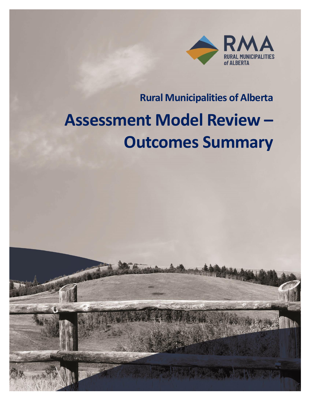

# **Rural Municipalities of Alberta**

# **Assessment Model Review – Outcomes Summary**

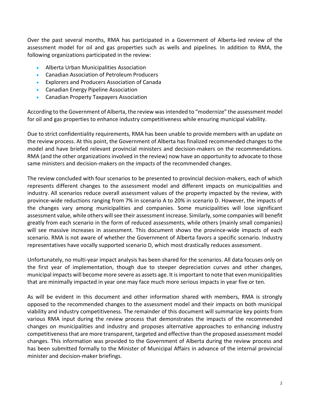Over the past several months, RMA has participated in a Government of Alberta-led review of the assessment model for oil and gas properties such as wells and pipelines. In addition to RMA, the following organizations participated in the review:

- Alberta Urban Municipalities Association
- Canadian Association of Petroleum Producers
- Explorers and Producers Association of Canada
- Canadian Energy Pipeline Association
- Canadian Property Taxpayers Association

According to the Government of Alberta, the review was intended to "modernize" the assessment model for oil and gas properties to enhance industry competitiveness while ensuring municipal viability.

Due to strict confidentiality requirements, RMA has been unable to provide members with an update on the review process. At this point, the Government of Alberta has finalized recommended changes to the model and have briefed relevant provincial ministers and decision-makers on the recommendations. RMA (and the other organizations involved in the review) now have an opportunity to advocate to those same ministers and decision-makers on the impacts of the recommended changes.

The review concluded with four scenarios to be presented to provincial decision-makers, each of which represents different changes to the assessment model and different impacts on municipalities and industry. All scenarios reduce overall assessment values of the property impacted by the review, with province-wide reductions ranging from 7% in scenario A to 20% in scenario D. However, the impacts of the changes vary among municipalities and companies. Some municipalities will lose significant assessment value, while others will see their assessment increase. Similarly, some companies will benefit greatly from each scenario in the form of reduced assessments, while others (mainly small companies) will see massive increases in assessment. This document shows the province-wide impacts of each scenario. RMA is not aware of whether the Government of Alberta favors a specific scenario. Industry representatives have vocally supported scenario D, which most drastically reduces assessment.

Unfortunately, no multi-year impact analysis has been shared for the scenarios. All data focuses only on the first year of implementation, though due to steeper depreciation curves and other changes, municipal impacts will become more severe as assets age. It is important to note that even municipalities that are minimally impacted in year one may face much more serious impacts in year five or ten.

As will be evident in this document and other information shared with members, RMA is strongly opposed to the recommended changes to the assessment model and their impacts on both municipal viability and industry competitiveness. The remainder of this document will summarize key points from various RMA input during the review process that demonstrates the impacts of the recommended changes on municipalities and industry and proposes alternative approaches to enhancing industry competitiveness that are more transparent, targeted and effective than the proposed assessment model changes. This information was provided to the Government of Alberta during the review process and has been submitted formally to the Minister of Municipal Affairs in advance of the internal provincial minister and decision-maker briefings.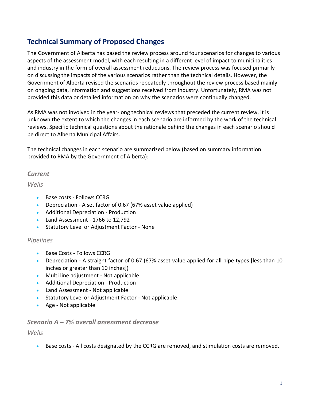# **Technical Summary of Proposed Changes**

The Government of Alberta has based the review process around four scenarios for changes to various aspects of the assessment model, with each resulting in a different level of impact to municipalities and industry in the form of overall assessment reductions. The review process was focused primarily on discussing the impacts of the various scenarios rather than the technical details. However, the Government of Alberta revised the scenarios repeatedly throughout the review process based mainly on ongoing data, information and suggestions received from industry. Unfortunately, RMA was not provided this data or detailed information on why the scenarios were continually changed.

As RMA was not involved in the year-long technical reviews that preceded the current review, it is unknown the extent to which the changes in each scenario are informed by the work of the technical reviews. Specific technical questions about the rationale behind the changes in each scenario should be direct to Alberta Municipal Affairs.

The technical changes in each scenario are summarized below (based on summary information provided to RMA by the Government of Alberta):

#### *Current*

*Wells*

- Base costs Follows CCRG
- Depreciation A set factor of 0.67 (67% asset value applied)
- Additional Depreciation Production
- Land Assessment 1766 to 12,792
- Statutory Level or Adjustment Factor None

#### *Pipelines*

- Base Costs Follows CCRG
- Depreciation A straight factor of 0.67 (67% asset value applied for all pipe types [less than 10 inches or greater than 10 inches])
- Multi line adjustment Not applicable
- Additional Depreciation Production
- Land Assessment Not applicable
- Statutory Level or Adjustment Factor Not applicable
- Age Not applicable

#### *Scenario A – 7% overall assessment decrease*

*Wells*

• Base costs - All costs designated by the CCRG are removed, and stimulation costs are removed.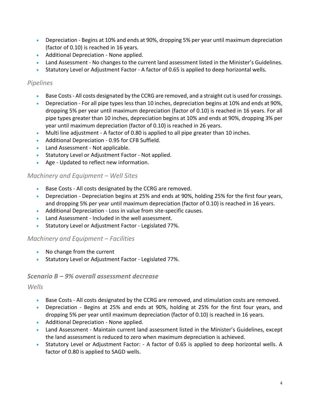- Depreciation Begins at 10% and ends at 90%, dropping 5% per year until maximum depreciation (factor of 0.10) is reached in 16 years.
- Additional Depreciation None applied.
- Land Assessment No changes to the current land assessment listed in the Minister's Guidelines.
- Statutory Level or Adjustment Factor A factor of 0.65 is applied to deep horizontal wells.

### *Pipelines*

- Base Costs- All costs designated by the CCRG are removed, and a straight cut is used for crossings.
- Depreciation For all pipe types less than 10 inches, depreciation begins at 10% and ends at 90%, dropping 5% per year until maximum depreciation (factor of 0.10) is reached in 16 years. For all pipe types greater than 10 inches, depreciation begins at 10% and ends at 90%, dropping 3% per year until maximum depreciation (factor of 0.10) is reached in 26 years.
- Multi line adjustment A factor of 0.80 is applied to all pipe greater than 10 inches.
- Additional Depreciation 0.95 for CFB Suffield.
- Land Assessment Not applicable.
- Statutory Level or Adjustment Factor Not applied.
- Age Updated to reflect new information.

# *Machinery and Equipment – Well Sites*

- Base Costs All costs designated by the CCRG are removed.
- Depreciation Depreciation begins at 25% and ends at 90%, holding 25% for the first four years, and dropping 5% per year until maximum depreciation (factor of 0.10) is reached in 16 years.
- Additional Depreciation Loss in value from site-specific causes.
- Land Assessment Included in the well assessment.
- Statutory Level or Adjustment Factor Legislated 77%.

# *Machinery and Equipment – Facilities*

- No change from the current
- Statutory Level or Adjustment Factor Legislated 77%.

# *Scenario B – 9% overall assessment decrease*

#### *Wells*

- Base Costs All costs designated by the CCRG are removed, and stimulation costs are removed.
- Depreciation Begins at 25% and ends at 90%, holding at 25% for the first four years, and dropping 5% per year until maximum depreciation (factor of 0.10) is reached in 16 years.
- Additional Depreciation None applied.
- Land Assessment Maintain current land assessment listed in the Minister's Guidelines, except the land assessment is reduced to zero when maximum depreciation is achieved.
- Statutory Level or Adjustment Factor: A factor of 0.65 is applied to deep horizontal wells. A factor of 0.80 is applied to SAGD wells.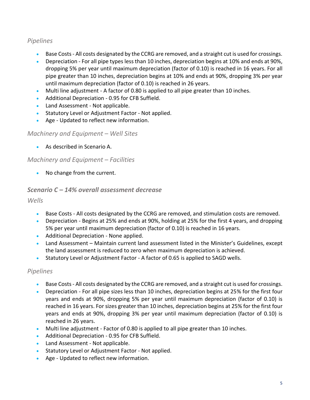#### *Pipelines*

- Base Costs- All costs designated by the CCRG are removed, and a straight cut is used for crossings.
- Depreciation For all pipe types less than 10 inches, depreciation begins at 10% and ends at 90%, dropping 5% per year until maximum depreciation (factor of 0.10) is reached in 16 years. For all pipe greater than 10 inches, depreciation begins at 10% and ends at 90%, dropping 3% per year until maximum depreciation (factor of 0.10) is reached in 26 years.
- Multi line adjustment A factor of 0.80 is applied to all pipe greater than 10 inches.
- Additional Depreciation 0.95 for CFB Suffield.
- Land Assessment Not applicable.
- Statutory Level or Adjustment Factor Not applied.
- Age Updated to reflect new information.

#### *Machinery and Equipment – Well Sites*

• As described in Scenario A.

#### *Machinery and Equipment – Facilities*

• No change from the current.

#### *Scenario C – 14% overall assessment decrease*

*Wells*

- Base Costs All costs designated by the CCRG are removed, and stimulation costs are removed.
- Depreciation Begins at 25% and ends at 90%, holding at 25% for the first 4 years, and dropping 5% per year until maximum depreciation (factor of 0.10) is reached in 16 years.
- Additional Depreciation None applied.
- Land Assessment Maintain current land assessment listed in the Minister's Guidelines, except the land assessment is reduced to zero when maximum depreciation is achieved.
- Statutory Level or Adjustment Factor A factor of 0.65 is applied to SAGD wells.

#### *Pipelines*

- Base Costs- All costs designated by the CCRG are removed, and a straight cut is used for crossings.
- Depreciation For all pipe sizes less than 10 inches, depreciation begins at 25% for the first four years and ends at 90%, dropping 5% per year until maximum depreciation (factor of 0.10) is reached in 16 years. For sizes greater than 10 inches, depreciation begins at 25% for the first four years and ends at 90%, dropping 3% per year until maximum depreciation (factor of 0.10) is reached in 26 years.
- Multi line adjustment Factor of 0.80 is applied to all pipe greater than 10 inches.
- Additional Depreciation 0.95 for CFB Suffield.
- Land Assessment Not applicable.
- Statutory Level or Adjustment Factor Not applied.
- Age Updated to reflect new information.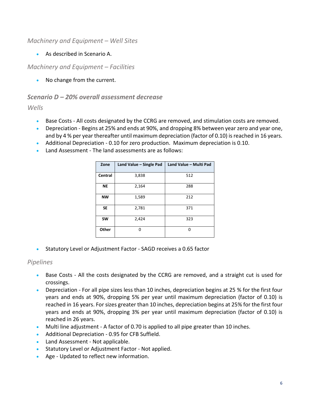#### *Machinery and Equipment – Well Sites*

• As described in Scenario A.

#### *Machinery and Equipment – Facilities*

• No change from the current.

#### *Scenario D – 20% overall assessment decrease*

*Wells*

- Base Costs All costs designated by the CCRG are removed, and stimulation costs are removed.
- Depreciation Begins at 25% and ends at 90%, and dropping 8% between year zero and year one, and by 4 % per year thereafter until maximum depreciation (factor of 0.10) is reached in 16 years.
- Additional Depreciation 0.10 for zero production. Maximum depreciation is 0.10.
- Land Assessment The land assessments are as follows:

| Zone      | Land Value - Single Pad | Land Value - Multi Pad |
|-----------|-------------------------|------------------------|
| Central   | 3,838                   | 512                    |
| ΝE        | 2,164                   | 288                    |
| <b>NW</b> | 1,589                   | 212                    |
| <b>SE</b> | 2,781                   | 371                    |
| <b>SW</b> | 2,424                   | 323                    |
| Other     | n                       | O                      |

• Statutory Level or Adjustment Factor - SAGD receives a 0.65 factor

#### *Pipelines*

- Base Costs All the costs designated by the CCRG are removed, and a straight cut is used for crossings.
- Depreciation For all pipe sizes less than 10 inches, depreciation begins at 25 % for the first four years and ends at 90%, dropping 5% per year until maximum depreciation (factor of 0.10) is reached in 16 years. For sizes greater than 10 inches, depreciation begins at 25% for the first four years and ends at 90%, dropping 3% per year until maximum depreciation (factor of 0.10) is reached in 26 years.
- Multi line adjustment A factor of 0.70 is applied to all pipe greater than 10 inches.
- Additional Depreciation 0.95 for CFB Suffield.
- Land Assessment Not applicable.
- Statutory Level or Adjustment Factor Not applied.
- Age Updated to reflect new information.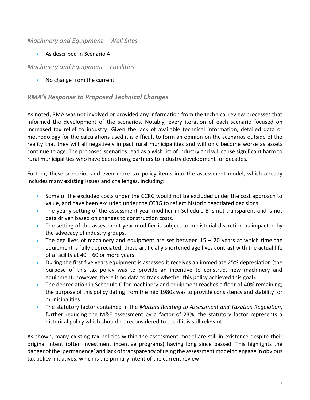#### *Machinery and Equipment – Well Sites*

• As described in Scenario A.

#### *Machinery and Equipment – Facilities*

• No change from the current.

#### *RMA's Response to Proposed Technical Changes*

As noted, RMA was not involved or provided any information from the technical review processes that informed the development of the scenarios. Notably, every iteration of each scenario focused on increased tax relief to industry. Given the lack of available technical information, detailed data or methodology for the calculations used it is difficult to form an opinion on the scenarios outside of the reality that they will all negatively impact rural municipalities and will only become worse as assets continue to age. The proposed scenarios read as a wish list of industry and will cause significant harm to rural municipalities who have been strong partners to industry development for decades.

Further, these scenarios add even more tax policy items into the assessment model, which already includes many **existing** issues and challenges, including:

- Some of the excluded costs under the CCRG would not be excluded under the cost approach to value, and have been excluded under the CCRG to reflect historic negotiated decisions.
- The yearly setting of the assessment year modifier in Schedule B is not transparent and is not data driven based on changes to construction costs.
- The setting of the assessment year modifier is subject to ministerial discretion as impacted by the advocacy of industry groups.
- The age lives of machinery and equipment are set between  $15 20$  years at which time the equipment is fully depreciated; these artificially shortened age lives contrast with the actual life of a facility at 40 – 60 or more years.
- During the first five years equipment is assessed it receives an immediate 25% depreciation (the purpose of this tax policy was to provide an incentive to construct new machinery and equipment, however, there is no data to track whether this policy achieved this goal).
- The depreciation in Schedule C for machinery and equipment reaches a floor of 40% remaining; the purpose of this policy dating from the mid 1980s was to provide consistency and stability for municipalities.
- The statutory factor contained in the *Matters Relating to Assessment and Taxation Regulation*, further reducing the M&E assessment by a factor of 23%; the statutory factor represents a historical policy which should be reconsidered to see if it is still relevant.

As shown, many existing tax policies within the assessment model are still in existence despite their original intent (often investment incentive programs) having long since passed. This highlights the danger of the 'permanence' and lack of transparency of using the assessment model to engage in obvious tax policy initiatives, which is the primary intent of the current review.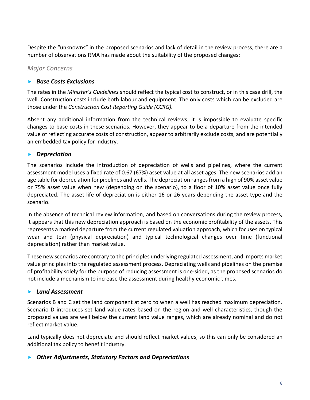Despite the "unknowns" in the proposed scenarios and lack of detail in the review process, there are a number of observations RMA has made about the suitability of the proposed changes:

#### *Major Concerns*

#### *Base Costs Exclusions*

The rates in the *Minister's Guidelines* should reflect the typical cost to construct, or in this case drill, the well. Construction costs include both labour and equipment. The only costs which can be excluded are those under the *Construction Cost Reporting Guide (CCRG).*

Absent any additional information from the technical reviews, it is impossible to evaluate specific changes to base costs in these scenarios. However, they appear to be a departure from the intended value of reflecting accurate costs of construction, appear to arbitrarily exclude costs, and are potentially an embedded tax policy for industry.

#### *Depreciation*

The scenarios include the introduction of depreciation of wells and pipelines, where the current assessment model uses a fixed rate of 0.67 (67%) asset value at all asset ages. The new scenarios add an age table for depreciation for pipelines and wells. The depreciation ranges from a high of 90% asset value or 75% asset value when new (depending on the scenario), to a floor of 10% asset value once fully depreciated. The asset life of depreciation is either 16 or 26 years depending the asset type and the scenario.

In the absence of technical review information, and based on conversations during the review process, it appears that this new depreciation approach is based on the economic profitability of the assets. This represents a marked departure from the current regulated valuation approach, which focuses on typical wear and tear (physical depreciation) and typical technological changes over time (functional depreciation) rather than market value.

These new scenarios are contrary to the principles underlying regulated assessment, and imports market value principles into the regulated assessment process. Depreciating wells and pipelines on the premise of profitability solely for the purpose of reducing assessment is one-sided, as the proposed scenarios do not include a mechanism to increase the assessment during healthy economic times.

#### *Land Assessment*

Scenarios B and C set the land component at zero to when a well has reached maximum depreciation. Scenario D introduces set land value rates based on the region and well characteristics, though the proposed values are well below the current land value ranges, which are already nominal and do not reflect market value.

Land typically does not depreciate and should reflect market values, so this can only be considered an additional tax policy to benefit industry.

#### *Other Adjustments, Statutory Factors and Depreciations*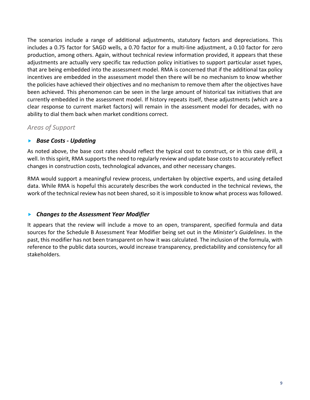The scenarios include a range of additional adjustments, statutory factors and depreciations. This includes a 0.75 factor for SAGD wells, a 0.70 factor for a multi-line adjustment, a 0.10 factor for zero production, among others. Again, without technical review information provided, it appears that these adjustments are actually very specific tax reduction policy initiatives to support particular asset types, that are being embedded into the assessment model. RMA is concerned that if the additional tax policy incentives are embedded in the assessment model then there will be no mechanism to know whether the policies have achieved their objectives and no mechanism to remove them after the objectives have been achieved. This phenomenon can be seen in the large amount of historical tax initiatives that are currently embedded in the assessment model. If history repeats itself, these adjustments (which are a clear response to current market factors) will remain in the assessment model for decades, with no ability to dial them back when market conditions correct.

#### *Areas of Support*

#### *Base Costs - Updating*

As noted above, the base cost rates should reflect the typical cost to construct, or in this case drill, a well. In this spirit, RMA supports the need to regularly review and update base costs to accurately reflect changes in construction costs, technological advances, and other necessary changes.

RMA would support a meaningful review process, undertaken by objective experts, and using detailed data. While RMA is hopeful this accurately describes the work conducted in the technical reviews, the work of the technical review has not been shared, so it is impossible to know what process was followed.

#### *Changes to the Assessment Year Modifier*

It appears that the review will include a move to an open, transparent, specified formula and data sources for the Schedule B Assessment Year Modifier being set out in the *Minister's Guidelines*. In the past, this modifier has not been transparent on how it was calculated. The inclusion of the formula, with reference to the public data sources, would increase transparency, predictability and consistency for all stakeholders.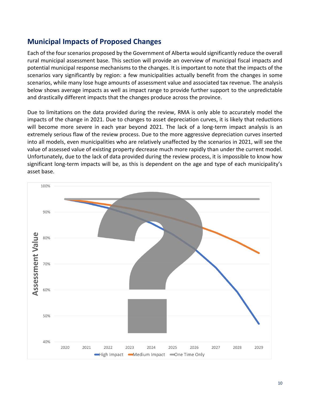# **Municipal Impacts of Proposed Changes**

Each of the four scenarios proposed by the Government of Alberta would significantly reduce the overall rural municipal assessment base. This section will provide an overview of municipal fiscal impacts and potential municipal response mechanisms to the changes. It is important to note that the impacts of the scenarios vary significantly by region: a few municipalities actually benefit from the changes in some scenarios, while many lose huge amounts of assessment value and associated tax revenue. The analysis below shows average impacts as well as impact range to provide further support to the unpredictable and drastically different impacts that the changes produce across the province.

Due to limitations on the data provided during the review, RMA is only able to accurately model the impacts of the change in 2021. Due to changes to asset depreciation curves, it is likely that reductions will become more severe in each year beyond 2021. The lack of a long-term impact analysis is an extremely serious flaw of the review process. Due to the more aggressive depreciation curves inserted into all models, even municipalities who are relatively unaffected by the scenarios in 2021, will see the value of assessed value of existing property decrease much more rapidly than under the current model. Unfortunately, due to the lack of data provided during the review process, it is impossible to know how significant long-term impacts will be, as this is dependent on the age and type of each municipality's asset base.

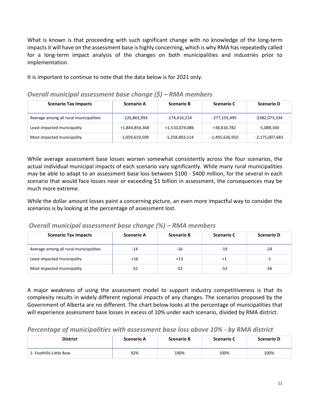What is known is that proceeding with such significant change with no knowledge of the long-term impacts it will have on the assessment base is highly concerning, which is why RMA has repeatedly called for a long-term impact analysis of the changes on both municipalities and industries prior to implementation.

It is important to continue to note that the data below is for 2021 only.

| <b>Scenario Tax Impacts</b>            | <b>Scenario A</b> | <b>Scenario B</b> | <b>Scenario C</b> | <b>Scenario D</b> |
|----------------------------------------|-------------------|-------------------|-------------------|-------------------|
| Average among all rural municipalities | -126,863,993      | $-174,416,214$    | -277,155,495      | -\$382,073,334    |
| Least impacted municipality            | +1,844,854,368    | +1,510,074,086    | +38,816,782       | -5,088,160        |
| Most impacted municipality             | -1,059,619,509    | $-1,258,803,514$  | -1,495,636,950    | -2,175,007,683    |

*Overall municipal assessment base change (\$) – RMA members*

While average assessment base losses worsen somewhat consistently across the four scenarios, the actual individual municipal impacts of each scenario vary significantly. While many rural municipalities may be able to adapt to an assessment base loss between \$100 - \$400 million, for the several in each scenario that would face losses near or exceeding \$1 billion in assessment, the consequences may be much more extreme.

While the dollar amount losses paint a concerning picture, an even more impactful way to consider the scenarios is by looking at the percentage of assessment lost.

*Overall municipal assessment base change (%) – RMA members*

| <b>Scenario Tax Impacts</b>            | <b>Scenario A</b> | <b>Scenario B</b> | <b>Scenario C</b> | <b>Scenario D</b> |
|----------------------------------------|-------------------|-------------------|-------------------|-------------------|
| Average among all rural municipalities | $-14$             | -16               | -19               | -24               |
| Least impacted municipality            | $+16$             | $+13$             | +1                | -1                |
| Most impacted municipality             | -52               | -52               | -53               | -56               |

A major weakness of using the assessment model to support industry competitiveness is that its complexity results in widely different regional impacts of any changes. The scenarios proposed by the Government of Alberta are no different. The chart below looks at the percentage of municipalities that will experience assessment base losses in excess of 10% under each scenario, divided by RMA district.

*Percentage of municipalities with assessment base loss above 10% - by RMA district*

| <b>District</b>         | <b>Scenario A</b> | <b>Scenario B</b> | <b>Scenario C</b> | <b>Scenario D</b> |
|-------------------------|-------------------|-------------------|-------------------|-------------------|
| 1- Foothills-Little Bow | 92%               | 100%              | 100%              | 100%              |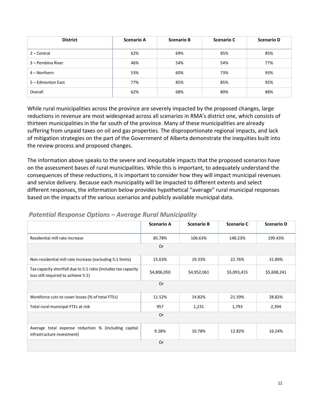| <b>District</b>   | <b>Scenario A</b> | <b>Scenario B</b> | <b>Scenario C</b> | <b>Scenario D</b> |
|-------------------|-------------------|-------------------|-------------------|-------------------|
| $2 - Central$     | 62%               | 69%               | 85%               | 85%               |
| 3 – Pembina River | 46%               | 54%               | 54%               | 77%               |
| 4 – Northern      | 53%               | 60%               | 73%               | 93%               |
| 5 - Edmonton East | 77%               | 85%               | 85%               | 92%               |
| Overall           | 62%               | 68%               | 80%               | 88%               |

While rural municipalities across the province are severely impacted by the proposed changes, large reductions in revenue are most widespread across all scenarios in RMA's district one, which consists of thirteen municipalities in the far south of the province. Many of these municipalities are already suffering from unpaid taxes on oil and gas properties. The disproportionate regional impacts, and lack of mitigation strategies on the part of the Government of Alberta demonstrate the inequities built into the review process and proposed changes.

The information above speaks to the severe and inequitable impacts that the proposed scenarios have on the assessment bases of rural municipalities. While this is important, to adequately understand the consequences of these reductions, it is important to consider how they will impact municipal revenues and service delivery. Because each municipality will be impacted to different extents and select different responses, the information below provides hypothetical "average" rural municipal responses based on the impacts of the various scenarios and publicly available municipal data.

|                                                                                                       | <b>Scenario A</b> | <b>Scenario B</b> | <b>Scenario C</b> | <b>Scenario D</b> |  |  |  |
|-------------------------------------------------------------------------------------------------------|-------------------|-------------------|-------------------|-------------------|--|--|--|
| Residential mill rate increase                                                                        | 85.78%            | 106.63%           | 148.23%           | 199.43%           |  |  |  |
| Or                                                                                                    |                   |                   |                   |                   |  |  |  |
| Non-residential mill rate increase (excluding 5:1 limits)                                             | 15.63%            | 19.33%            | 22.76%            | 31.89%            |  |  |  |
| Tax capacity shortfall due to 5:1 ratio (includes tax capacity<br>loss still required to achieve 5:1) | \$4,806,050       | \$4,952,061       | \$5,093,415       | \$5,608,241       |  |  |  |
|                                                                                                       | Or                |                   |                   |                   |  |  |  |
| Workforce cuts to cover losses (% of total FTEs)                                                      | 11.52%            | 14.82%            | 21.59%            | 28.82%            |  |  |  |
| Total rural municipal FTEs at risk                                                                    | 957               | 1,231             | 1,793             | 2,394             |  |  |  |
| Or                                                                                                    |                   |                   |                   |                   |  |  |  |
| Average total expense reduction % (including capital<br>infrastructure investment)                    | 9.28%             | 10.78%            | 12.82%            | 16.24%            |  |  |  |
|                                                                                                       | 0r                |                   |                   |                   |  |  |  |

#### *Potential Response Options – Average Rural Municipality*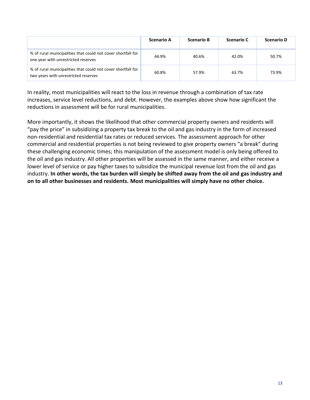|                                                                                                      | <b>Scenario A</b> | <b>Scenario B</b> | Scenario C | <b>Scenario D</b> |
|------------------------------------------------------------------------------------------------------|-------------------|-------------------|------------|-------------------|
| % of rural municipalities that could not cover shortfall for<br>one year with unrestricted reserves  | 44.9%             | 40.6%             | 42.0%      | 50.7%             |
| % of rural municipalities that could not cover shortfall for<br>two years with unrestricted reserves | 60.8%             | 57.9%             | 63.7%      | 73.9%             |

In reality, most municipalities will react to the loss in revenue through a combination of tax rate increases, service level reductions, and debt. However, the examples above show how significant the reductions in assessment will be for rural municipalities.

More importantly, it shows the likelihood that other commercial property owners and residents will "pay the price" in subsidizing a property tax break to the oil and gas industry in the form of increased non-residential and residential tax rates or reduced services. The assessment approach for other commercial and residential properties is not being reviewed to give property owners "a break" during these challenging economic times; this manipulation of the assessment model is only being offered to the oil and gas industry. All other properties will be assessed in the same manner, and either receive a lower level of service or pay higher taxes to subsidize the municipal revenue lost from the oil and gas industry. **In other words, the tax burden will simply be shifted away from the oil and gas industry and on to all other businesses and residents. Most municipalities will simply have no other choice.**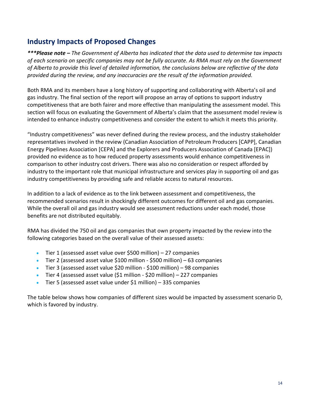# **Industry Impacts of Proposed Changes**

*\*\*\*Please note – The Government of Alberta has indicated that the data used to determine tax impacts of each scenario on specific companies may not be fully accurate. As RMA must rely on the Government of Alberta to provide this level of detailed information, the conclusions below are reflective of the data provided during the review, and any inaccuracies are the result of the information provided.*

Both RMA and its members have a long history of supporting and collaborating with Alberta's oil and gas industry. The final section of the report will propose an array of options to support industry competitiveness that are both fairer and more effective than manipulating the assessment model. This section will focus on evaluating the Government of Alberta's claim that the assessment model review is intended to enhance industry competitiveness and consider the extent to which it meets this priority.

"Industry competitiveness" was never defined during the review process, and the industry stakeholder representatives involved in the review (Canadian Association of Petroleum Producers [CAPP], Canadian Energy Pipelines Association [CEPA] and the Explorers and Producers Association of Canada [EPAC]) provided no evidence as to how reduced property assessments would enhance competitiveness in comparison to other industry cost drivers. There was also no consideration or respect afforded by industry to the important role that municipal infrastructure and services play in supporting oil and gas industry competitiveness by providing safe and reliable access to natural resources.

In addition to a lack of evidence as to the link between assessment and competitiveness, the recommended scenarios result in shockingly different outcomes for different oil and gas companies. While the overall oil and gas industry would see assessment reductions under each model, those benefits are not distributed equitably.

RMA has divided the 750 oil and gas companies that own property impacted by the review into the following categories based on the overall value of their assessed assets:

- Tier 1 (assessed asset value over \$500 million) 27 companies
- Tier 2 (assessed asset value \$100 million \$500 million) 63 companies
- Tier 3 (assessed asset value \$20 million \$100 million) 98 companies
- Tier 4 (assessed asset value (\$1 million \$20 million) 227 companies
- Tier 5 (assessed asset value under \$1 million) 335 companies

The table below shows how companies of different sizes would be impacted by assessment scenario D, which is favored by industry.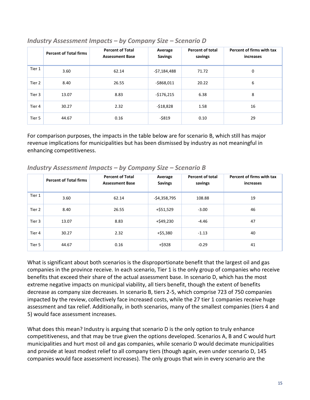|        | <b>Percent of Total firms</b> | <b>Percent of Total</b><br><b>Assessment Base</b> | Average<br><b>Savings</b> | Percent of total<br>savings | Percent of firms with tax<br>increases |
|--------|-------------------------------|---------------------------------------------------|---------------------------|-----------------------------|----------------------------------------|
| Tier 1 | 3.60                          | 62.14                                             | -\$7,184,488              | 71.72                       | 0                                      |
| Tier 2 | 8.40                          | 26.55                                             | $-$ \$868,011             | 20.22                       | 6                                      |
| Tier 3 | 13.07                         | 8.83                                              | -\$176,215                | 6.38                        | 8                                      |
| Tier 4 | 30.27                         | 2.32                                              | $-$18,828$                | 1.58                        | 16                                     |
| Tier 5 | 44.67                         | 0.16                                              | $-$ \$819                 | 0.10                        | 29                                     |

#### *Industry Assessment Impacts – by Company Size – Scenario D*

For comparison purposes, the impacts in the table below are for scenario B, which still has major revenue implications for municipalities but has been dismissed by industry as not meaningful in enhancing competitiveness.

|        | <b>Percent of Total firms</b> | <b>Percent of Total</b><br><b>Assessment Base</b> | Average<br><b>Savings</b> | Percent of total<br>savings | Percent of firms with tax<br>increases |
|--------|-------------------------------|---------------------------------------------------|---------------------------|-----------------------------|----------------------------------------|
| Tier 1 | 3.60                          | 62.14                                             | -\$4,358,795              | 108.88                      | 19                                     |
| Tier 2 | 8.40                          | 26.55                                             | +\$51,529                 | $-3.00$                     | 46                                     |
| Tier 3 | 13.07                         | 8.83                                              | +\$49,230                 | -4.46                       | 47                                     |
| Tier 4 | 30.27                         | 2.32                                              | +\$5,380                  | $-1.13$                     | 40                                     |
| Tier 5 | 44.67                         | 0.16                                              | $+$ \$928                 | $-0.29$                     | 41                                     |

#### *Industry Assessment Impacts – by Company Size – Scenario B*

What is significant about both scenarios is the disproportionate benefit that the largest oil and gas companies in the province receive. In each scenario, Tier 1 is the only group of companies who receive benefits that exceed their share of the actual assessment base. In scenario D, which has the most extreme negative impacts on municipal viability, all tiers benefit, though the extent of benefits decrease as company size decreases. In scenario B, tiers 2-5, which comprise 723 of 750 companies impacted by the review, collectively face increased costs, while the 27 tier 1 companies receive huge assessment and tax relief. Additionally, in both scenarios, many of the smallest companies (tiers 4 and 5) would face assessment increases.

What does this mean? Industry is arguing that scenario D is the only option to truly enhance competitiveness, and that may be true given the options developed. Scenarios A, B and C would hurt municipalities and hurt most oil and gas companies, while scenario D would decimate municipalities and provide at least modest relief to all company tiers (though again, even under scenario D, 145 companies would face assessment increases). The only groups that win in every scenario are the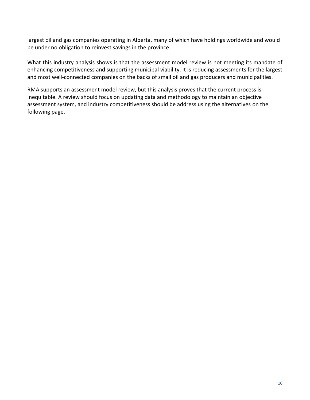largest oil and gas companies operating in Alberta, many of which have holdings worldwide and would be under no obligation to reinvest savings in the province.

What this industry analysis shows is that the assessment model review is not meeting its mandate of enhancing competitiveness and supporting municipal viability. It is reducing assessments for the largest and most well-connected companies on the backs of small oil and gas producers and municipalities.

RMA supports an assessment model review, but this analysis proves that the current process is inequitable. A review should focus on updating data and methodology to maintain an objective assessment system, and industry competitiveness should be address using the alternatives on the following page.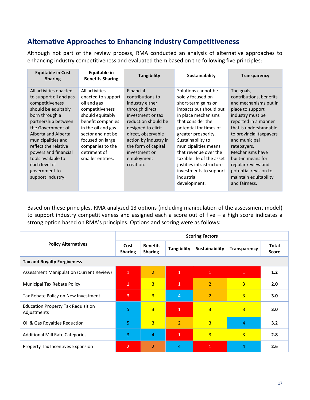# **Alternative Approaches to Enhancing Industry Competitiveness**

Although not part of the review process, RMA conducted an analysis of alternative approaches to enhancing industry competitiveness and evaluated them based on the following five principles:

| <b>Equitable in Cost</b><br><b>Sharing</b>                                                                                                                                                                                                                                                                                         | Equitable in<br><b>Benefits Sharing</b>                                                                                                                                                                                                 | <b>Tangibility</b>                                                                                                                                                                                                                                     | <b>Sustainability</b>                                                                                                                                                                                                                                                                                                                                                         | <b>Transparency</b>                                                                                                                                                                                                                                                                                                                                   |
|------------------------------------------------------------------------------------------------------------------------------------------------------------------------------------------------------------------------------------------------------------------------------------------------------------------------------------|-----------------------------------------------------------------------------------------------------------------------------------------------------------------------------------------------------------------------------------------|--------------------------------------------------------------------------------------------------------------------------------------------------------------------------------------------------------------------------------------------------------|-------------------------------------------------------------------------------------------------------------------------------------------------------------------------------------------------------------------------------------------------------------------------------------------------------------------------------------------------------------------------------|-------------------------------------------------------------------------------------------------------------------------------------------------------------------------------------------------------------------------------------------------------------------------------------------------------------------------------------------------------|
| All activities enacted<br>to support oil and gas<br>competitiveness<br>should be equitably<br>born through a<br>partnership between<br>the Government of<br>Alberta and Alberta<br>municipalities and<br>reflect the relative<br>powers and financial<br>tools available to<br>each level of<br>government to<br>support industry. | All activities<br>enacted to support<br>oil and gas<br>competitiveness<br>should equitably<br>benefit companies<br>in the oil and gas<br>sector and not be<br>focused on large<br>companies to the<br>detriment of<br>smaller entities. | Financial<br>contributions to<br>industry either<br>through direct<br>investment or tax<br>reduction should be<br>designed to elicit<br>direct, observable<br>action by industry in<br>the form of capital<br>investment or<br>employment<br>creation. | Solutions cannot be<br>solely focused on<br>short-term gains or<br>impacts but should put<br>in place mechanisms<br>that consider the<br>potential for times of<br>greater prosperity.<br>Sustainability to<br>municipalities means<br>that revenue over the<br>taxable life of the asset<br>justifies infrastructure<br>investments to support<br>industrial<br>development. | The goals,<br>contributions, benefits<br>and mechanisms put in<br>place to support<br>industry must be<br>reported in a manner<br>that is understandable<br>to provincial taxpayers<br>and municipal<br>ratepayers.<br>Mechanisms have<br>built-in means for<br>regular review and<br>potential revision to<br>maintain equitability<br>and fairness. |

Based on these principles, RMA analyzed 13 options (including manipulation of the assessment model) to support industry competitiveness and assigned each a score out of five – a high score indicates a strong option based on RMA's principles. Options and scoring were as follows:

|                                                          | <b>Scoring Factors</b> |                                   |                    |                |                     |                              |  |
|----------------------------------------------------------|------------------------|-----------------------------------|--------------------|----------------|---------------------|------------------------------|--|
| <b>Policy Alternatives</b>                               | Cost<br><b>Sharing</b> | <b>Benefits</b><br><b>Sharing</b> | <b>Tangibility</b> | Sustainability | <b>Transparency</b> | <b>Total</b><br><b>Score</b> |  |
| <b>Tax and Royalty Forgiveness</b>                       |                        |                                   |                    |                |                     |                              |  |
| Assessment Manipulation (Current Review)                 | $\mathbf{1}$           | $\overline{2}$                    | $\mathbf{1}$       | $\mathbf{1}$   | $\mathbf{1}$        | 1.2                          |  |
| <b>Municipal Tax Rebate Policy</b>                       | $\mathbf{1}$           | $\overline{3}$                    | $\mathbf{1}$       | $\overline{2}$ | $\overline{3}$      | 2.0                          |  |
| Tax Rebate Policy on New Investment                      | 3                      | $\overline{3}$                    | $\overline{4}$     | $\overline{2}$ | $\overline{3}$      | 3.0                          |  |
| <b>Education Property Tax Requisition</b><br>Adjustments | 5                      | $\overline{3}$                    | $\mathbf{1}$       | $\overline{3}$ | $\overline{3}$      | 3.0                          |  |
| Oil & Gas Royalties Reduction                            | 5                      | $\overline{3}$                    | $\overline{2}$     | $\overline{3}$ | 4                   | 3.2                          |  |
| <b>Additional Mill Rate Categories</b>                   | 3                      | 4                                 | $\overline{1}$     | $\overline{3}$ | $\overline{3}$      | 2.8                          |  |
| <b>Property Tax Incentives Expansion</b>                 | $\overline{2}$         | $\overline{2}$                    | 4                  | 1              | 4                   | 2.6                          |  |